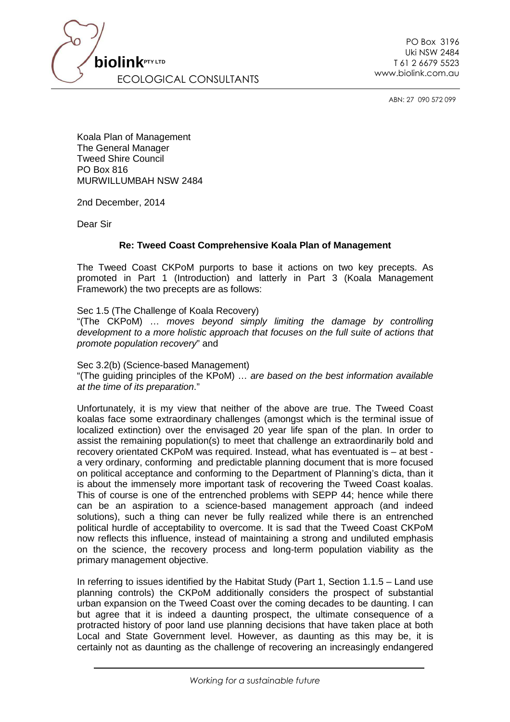

PO Box 3196 Uki NSW 2484 T 61 2 6679 5523

ABN: 27 090 572 099

Koala Plan of Management The General Manager Tweed Shire Council PO Box 816 MURWILLUMBAH NSW 2484

2nd December, 2014

Dear Sir

## **Re: Tweed Coast Comprehensive Koala Plan of Management**

The Tweed Coast CKPoM purports to base it actions on two key precepts. As promoted in Part 1 (Introduction) and latterly in Part 3 (Koala Management Framework) the two precepts are as follows:

Sec 1.5 (The Challenge of Koala Recovery) "(The CKPoM) … moves beyond simply limiting the damage by controlling development to a more holistic approach that focuses on the full suite of actions that promote population recovery" and

Sec 3.2(b) (Science-based Management) "(The guiding principles of the KPoM) … are based on the best information available at the time of its preparation."

Unfortunately, it is my view that neither of the above are true. The Tweed Coast koalas face some extraordinary challenges (amongst which is the terminal issue of localized extinction) over the envisaged 20 year life span of the plan. In order to assist the remaining population(s) to meet that challenge an extraordinarily bold and recovery orientated CKPoM was required. Instead, what has eventuated is – at best a very ordinary, conforming and predictable planning document that is more focused on political acceptance and conforming to the Department of Planning's dicta, than it is about the immensely more important task of recovering the Tweed Coast koalas. This of course is one of the entrenched problems with SEPP 44; hence while there can be an aspiration to a science-based management approach (and indeed solutions), such a thing can never be fully realized while there is an entrenched political hurdle of acceptability to overcome. It is sad that the Tweed Coast CKPoM now reflects this influence, instead of maintaining a strong and undiluted emphasis on the science, the recovery process and long-term population viability as the primary management objective.

In referring to issues identified by the Habitat Study (Part 1, Section 1.1.5 – Land use planning controls) the CKPoM additionally considers the prospect of substantial urban expansion on the Tweed Coast over the coming decades to be daunting. I can but agree that it is indeed a daunting prospect, the ultimate consequence of a protracted history of poor land use planning decisions that have taken place at both Local and State Government level. However, as daunting as this may be, it is certainly not as daunting as the challenge of recovering an increasingly endangered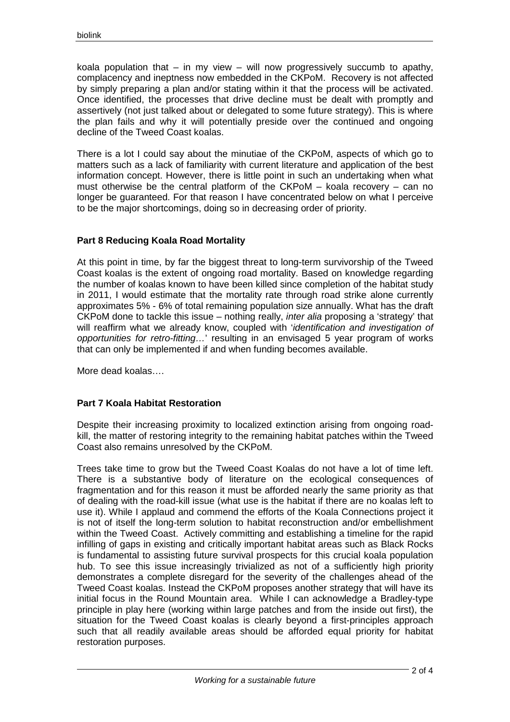koala population that  $-$  in my view  $-$  will now progressively succumb to apathy, complacency and ineptness now embedded in the CKPoM. Recovery is not affected by simply preparing a plan and/or stating within it that the process will be activated. Once identified, the processes that drive decline must be dealt with promptly and assertively (not just talked about or delegated to some future strategy). This is where the plan fails and why it will potentially preside over the continued and ongoing decline of the Tweed Coast koalas.

There is a lot I could say about the minutiae of the CKPoM, aspects of which go to matters such as a lack of familiarity with current literature and application of the best information concept. However, there is little point in such an undertaking when what must otherwise be the central platform of the CKPoM – koala recovery – can no longer be guaranteed. For that reason I have concentrated below on what I perceive to be the major shortcomings, doing so in decreasing order of priority.

# **Part 8 Reducing Koala Road Mortality**

At this point in time, by far the biggest threat to long-term survivorship of the Tweed Coast koalas is the extent of ongoing road mortality. Based on knowledge regarding the number of koalas known to have been killed since completion of the habitat study in 2011, I would estimate that the mortality rate through road strike alone currently approximates 5% - 6% of total remaining population size annually. What has the draft CKPoM done to tackle this issue – nothing really, inter alia proposing a 'strategy' that will reaffirm what we already know, coupled with 'identification and investigation of opportunities for retro-fitting…' resulting in an envisaged 5 year program of works that can only be implemented if and when funding becomes available.

More dead koalas….

## **Part 7 Koala Habitat Restoration**

Despite their increasing proximity to localized extinction arising from ongoing roadkill, the matter of restoring integrity to the remaining habitat patches within the Tweed Coast also remains unresolved by the CKPoM.

Trees take time to grow but the Tweed Coast Koalas do not have a lot of time left. There is a substantive body of literature on the ecological consequences of fragmentation and for this reason it must be afforded nearly the same priority as that of dealing with the road-kill issue (what use is the habitat if there are no koalas left to use it). While I applaud and commend the efforts of the Koala Connections project it is not of itself the long-term solution to habitat reconstruction and/or embellishment within the Tweed Coast. Actively committing and establishing a timeline for the rapid infilling of gaps in existing and critically important habitat areas such as Black Rocks is fundamental to assisting future survival prospects for this crucial koala population hub. To see this issue increasingly trivialized as not of a sufficiently high priority demonstrates a complete disregard for the severity of the challenges ahead of the Tweed Coast koalas. Instead the CKPoM proposes another strategy that will have its initial focus in the Round Mountain area. While I can acknowledge a Bradley-type principle in play here (working within large patches and from the inside out first), the situation for the Tweed Coast koalas is clearly beyond a first-principles approach such that all readily available areas should be afforded equal priority for habitat restoration purposes.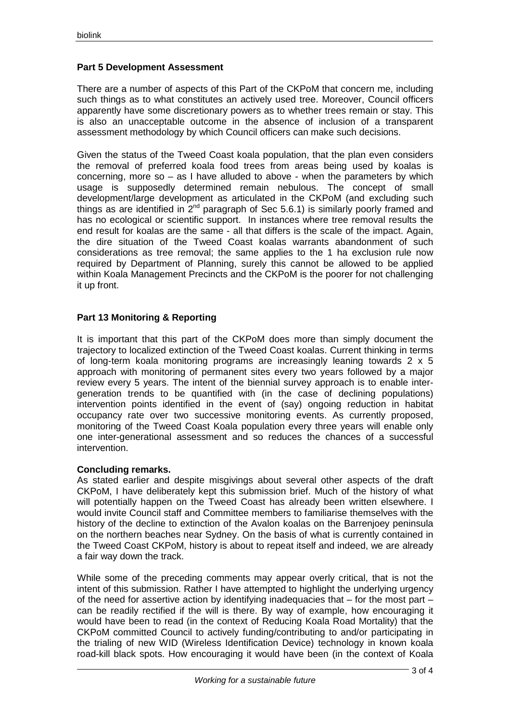# **Part 5 Development Assessment**

There are a number of aspects of this Part of the CKPoM that concern me, including such things as to what constitutes an actively used tree. Moreover, Council officers apparently have some discretionary powers as to whether trees remain or stay. This is also an unacceptable outcome in the absence of inclusion of a transparent assessment methodology by which Council officers can make such decisions.

Given the status of the Tweed Coast koala population, that the plan even considers the removal of preferred koala food trees from areas being used by koalas is concerning, more so – as I have alluded to above - when the parameters by which usage is supposedly determined remain nebulous. The concept of small development/large development as articulated in the CKPoM (and excluding such things as are identified in  $2^{nd}$  paragraph of Sec 5.6.1) is similarly poorly framed and has no ecological or scientific support. In instances where tree removal results the end result for koalas are the same - all that differs is the scale of the impact. Again, the dire situation of the Tweed Coast koalas warrants abandonment of such considerations as tree removal; the same applies to the 1 ha exclusion rule now required by Department of Planning, surely this cannot be allowed to be applied within Koala Management Precincts and the CKPoM is the poorer for not challenging it up front.

# **Part 13 Monitoring & Reporting**

It is important that this part of the CKPoM does more than simply document the trajectory to localized extinction of the Tweed Coast koalas. Current thinking in terms of long-term koala monitoring programs are increasingly leaning towards 2 x 5 approach with monitoring of permanent sites every two years followed by a major review every 5 years. The intent of the biennial survey approach is to enable intergeneration trends to be quantified with (in the case of declining populations) intervention points identified in the event of (say) ongoing reduction in habitat occupancy rate over two successive monitoring events. As currently proposed, monitoring of the Tweed Coast Koala population every three years will enable only one inter-generational assessment and so reduces the chances of a successful intervention.

## **Concluding remarks.**

As stated earlier and despite misgivings about several other aspects of the draft CKPoM, I have deliberately kept this submission brief. Much of the history of what will potentially happen on the Tweed Coast has already been written elsewhere. I would invite Council staff and Committee members to familiarise themselves with the history of the decline to extinction of the Avalon koalas on the Barrenjoey peninsula on the northern beaches near Sydney. On the basis of what is currently contained in the Tweed Coast CKPoM, history is about to repeat itself and indeed, we are already a fair way down the track.

While some of the preceding comments may appear overly critical, that is not the intent of this submission. Rather I have attempted to highlight the underlying urgency of the need for assertive action by identifying inadequacies that  $-$  for the most part  $$ can be readily rectified if the will is there. By way of example, how encouraging it would have been to read (in the context of Reducing Koala Road Mortality) that the CKPoM committed Council to actively funding/contributing to and/or participating in the trialing of new WID (Wireless Identification Device) technology in known koala road-kill black spots. How encouraging it would have been (in the context of Koala